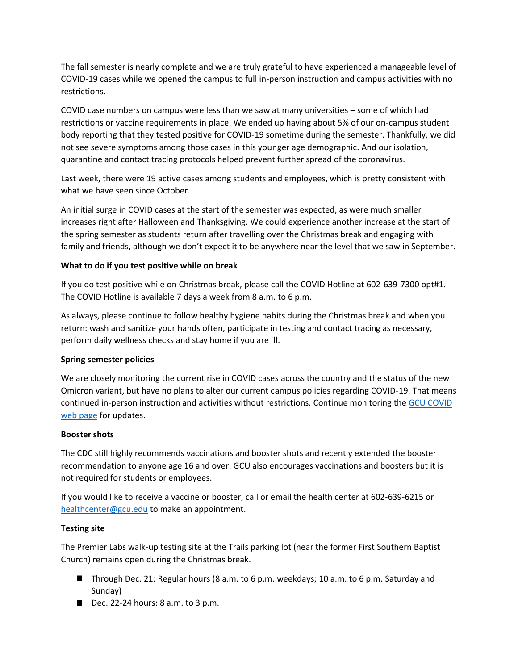The fall semester is nearly complete and we are truly grateful to have experienced a manageable level of COVID-19 cases while we opened the campus to full in-person instruction and campus activities with no restrictions.

COVID case numbers on campus were less than we saw at many universities – some of which had restrictions or vaccine requirements in place. We ended up having about 5% of our on-campus student body reporting that they tested positive for COVID-19 sometime during the semester. Thankfully, we did not see severe symptoms among those cases in this younger age demographic. And our isolation, quarantine and contact tracing protocols helped prevent further spread of the coronavirus.

Last week, there were 19 active cases among students and employees, which is pretty consistent with what we have seen since October.

An initial surge in COVID cases at the start of the semester was expected, as were much smaller increases right after Halloween and Thanksgiving. We could experience another increase at the start of the spring semester as students return after travelling over the Christmas break and engaging with family and friends, although we don't expect it to be anywhere near the level that we saw in September.

## **What to do if you test positive while on break**

If you do test positive while on Christmas break, please call the COVID Hotline at 602-639-7300 opt#1. The COVID Hotline is available 7 days a week from 8 a.m. to 6 p.m.

As always, please continue to follow healthy hygiene habits during the Christmas break and when you return: wash and sanitize your hands often, participate in testing and contact tracing as necessary, perform daily wellness checks and stay home if you are ill.

## **Spring semester policies**

We are closely monitoring the current rise in COVID cases across the country and the status of the new Omicron variant, but have no plans to alter our current campus policies regarding COVID-19. That means continued in-person instruction and activities without restrictions. Continue monitoring the [GCU COVID](https://www.gcu.edu/coronavirus-disease-2019-information)  web [page](https://www.gcu.edu/coronavirus-disease-2019-information) for updates.

## **Booster shots**

The CDC still highly recommends vaccinations and booster shots and recently extended the booster recommendation to anyone age 16 and over. GCU also encourages vaccinations and boosters but it is not required for students or employees.

If you would like to receive a vaccine or booster, call or email the health center at 602-639-6215 or [healthcenter@gcu.edu](mailto:healthcenter@gcu.edu) to make an appointment.

## **Testing site**

The Premier Labs walk-up testing site at the Trails parking lot (near the former First Southern Baptist Church) remains open during the Christmas break.

- Through Dec. 21: Regular hours (8 a.m. to 6 p.m. weekdays; 10 a.m. to 6 p.m. Saturday and Sunday)
- Dec. 22-24 hours:  $8$  a.m. to  $3$  p.m.